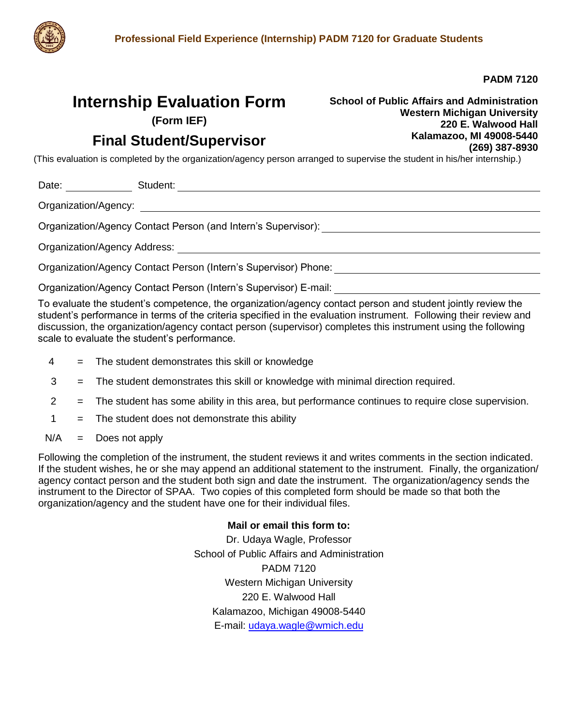

**PADM 7120**

# **Internship Evaluation Form**

**(Form IEF)**

# **Final Student/Supervisor**

**School of Public Affairs and Administration Western Michigan University 220 E. Walwood Hall Kalamazoo, MI 49008-5440 (269) 387-8930**

(This evaluation is completed by the organization/agency person arranged to supervise the student in his/her internship.)

Date: Student:

Organization/Agency:

Organization/Agency Contact Person (and Intern's Supervisor):

Organization/Agency Address:

Organization/Agency Contact Person (Intern's Supervisor) Phone:

Organization/Agency Contact Person (Intern's Supervisor) E-mail:

To evaluate the student's competence, the organization/agency contact person and student jointly review the student's performance in terms of the criteria specified in the evaluation instrument. Following their review and discussion, the organization/agency contact person (supervisor) completes this instrument using the following scale to evaluate the student's performance.

- 4 = The student demonstrates this skill or knowledge
- 3 = The student demonstrates this skill or knowledge with minimal direction required.
- 2 = The student has some ability in this area, but performance continues to require close supervision.
- $1 =$  The student does not demonstrate this ability
- $N/A$  = Does not apply

Following the completion of the instrument, the student reviews it and writes comments in the section indicated. If the student wishes, he or she may append an additional statement to the instrument. Finally, the organization/ agency contact person and the student both sign and date the instrument. The organization/agency sends the instrument to the Director of SPAA. Two copies of this completed form should be made so that both the organization/agency and the student have one for their individual files.

#### **Mail or email this form to:**

Dr. Udaya Wagle, Professor School of Public Affairs and Administration PADM 7120 Western Michigan University 220 E. Walwood Hall Kalamazoo, Michigan 49008-5440 E-mail: [udaya.wagle@wmich.edu](mailto:udaya.wagle@wmich.edu)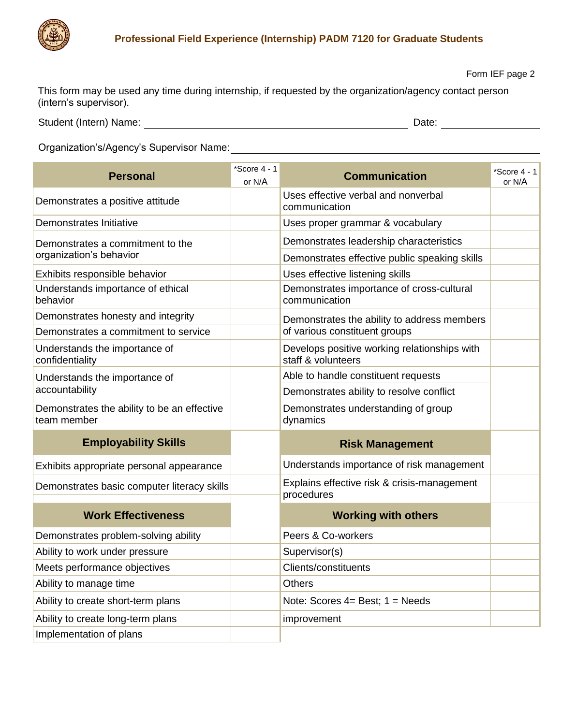

## **Professional Field Experience (Internship) PADM 7120 for Graduate Students**

Form IEF page 2

This form may be used any time during internship, if requested by the organization/agency contact person (intern's supervisor).

Student (Intern) Name: Date:

Organization's/Agency's Supervisor Name:

| <b>Personal</b>                                             | *Score 4 - 1<br>or N/A | <b>Communication</b>                                               | $*Score 4 - 1$<br>or N/A |
|-------------------------------------------------------------|------------------------|--------------------------------------------------------------------|--------------------------|
| Demonstrates a positive attitude                            |                        | Uses effective verbal and nonverbal<br>communication               |                          |
| Demonstrates Initiative                                     |                        | Uses proper grammar & vocabulary                                   |                          |
| Demonstrates a commitment to the<br>organization's behavior |                        | Demonstrates leadership characteristics                            |                          |
|                                                             |                        | Demonstrates effective public speaking skills                      |                          |
| Exhibits responsible behavior                               |                        | Uses effective listening skills                                    |                          |
| Understands importance of ethical<br>behavior               |                        | Demonstrates importance of cross-cultural<br>communication         |                          |
| Demonstrates honesty and integrity                          |                        | Demonstrates the ability to address members                        |                          |
| Demonstrates a commitment to service                        |                        | of various constituent groups                                      |                          |
| Understands the importance of<br>confidentiality            |                        | Develops positive working relationships with<br>staff & volunteers |                          |
| Understands the importance of<br>accountability             |                        | Able to handle constituent requests                                |                          |
|                                                             |                        | Demonstrates ability to resolve conflict                           |                          |
| Demonstrates the ability to be an effective<br>team member  |                        | Demonstrates understanding of group<br>dynamics                    |                          |
| <b>Employability Skills</b>                                 |                        | <b>Risk Management</b>                                             |                          |
| Exhibits appropriate personal appearance                    |                        | Understands importance of risk management                          |                          |
| Demonstrates basic computer literacy skills                 |                        | Explains effective risk & crisis-management<br>procedures          |                          |
| <b>Work Effectiveness</b>                                   |                        | <b>Working with others</b>                                         |                          |
| Demonstrates problem-solving ability                        |                        | Peers & Co-workers                                                 |                          |
| Ability to work under pressure                              |                        | Supervisor(s)                                                      |                          |
| Meets performance objectives                                |                        | Clients/constituents                                               |                          |
| Ability to manage time                                      |                        | <b>Others</b>                                                      |                          |
| Ability to create short-term plans                          |                        | Note: Scores $4=$ Best; $1=$ Needs                                 |                          |
| Ability to create long-term plans                           |                        | improvement                                                        |                          |
| Implementation of plans                                     |                        |                                                                    |                          |